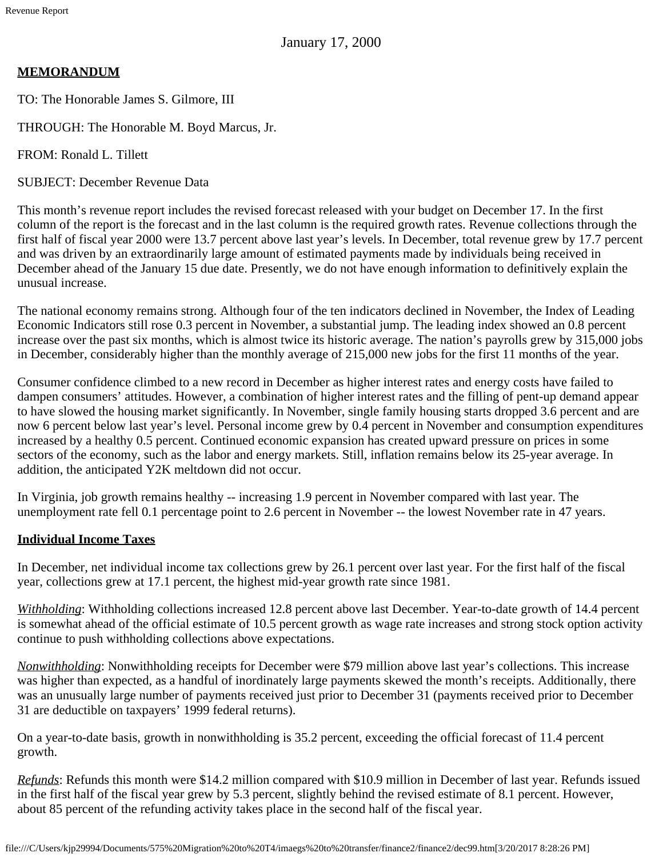January 17, 2000

# **MEMORANDUM**

TO: The Honorable James S. Gilmore, III

THROUGH: The Honorable M. Boyd Marcus, Jr.

FROM: Ronald L. Tillett

SUBJECT: December Revenue Data

This month's revenue report includes the revised forecast released with your budget on December 17. In the first column of the report is the forecast and in the last column is the required growth rates. Revenue collections through the first half of fiscal year 2000 were 13.7 percent above last year's levels. In December, total revenue grew by 17.7 percent and was driven by an extraordinarily large amount of estimated payments made by individuals being received in December ahead of the January 15 due date. Presently, we do not have enough information to definitively explain the unusual increase.

The national economy remains strong. Although four of the ten indicators declined in November, the Index of Leading Economic Indicators still rose 0.3 percent in November, a substantial jump. The leading index showed an 0.8 percent increase over the past six months, which is almost twice its historic average. The nation's payrolls grew by 315,000 jobs in December, considerably higher than the monthly average of 215,000 new jobs for the first 11 months of the year.

Consumer confidence climbed to a new record in December as higher interest rates and energy costs have failed to dampen consumers' attitudes. However, a combination of higher interest rates and the filling of pent-up demand appear to have slowed the housing market significantly. In November, single family housing starts dropped 3.6 percent and are now 6 percent below last year's level. Personal income grew by 0.4 percent in November and consumption expenditures increased by a healthy 0.5 percent. Continued economic expansion has created upward pressure on prices in some sectors of the economy, such as the labor and energy markets. Still, inflation remains below its 25-year average. In addition, the anticipated Y2K meltdown did not occur.

In Virginia, job growth remains healthy -- increasing 1.9 percent in November compared with last year. The unemployment rate fell 0.1 percentage point to 2.6 percent in November -- the lowest November rate in 47 years.

### **Individual Income Taxes**

In December, net individual income tax collections grew by 26.1 percent over last year. For the first half of the fiscal year, collections grew at 17.1 percent, the highest mid-year growth rate since 1981.

*Withholding*: Withholding collections increased 12.8 percent above last December. Year-to-date growth of 14.4 percent is somewhat ahead of the official estimate of 10.5 percent growth as wage rate increases and strong stock option activity continue to push withholding collections above expectations.

*Nonwithholding*: Nonwithholding receipts for December were \$79 million above last year's collections. This increase was higher than expected, as a handful of inordinately large payments skewed the month's receipts. Additionally, there was an unusually large number of payments received just prior to December 31 (payments received prior to December 31 are deductible on taxpayers' 1999 federal returns).

On a year-to-date basis, growth in nonwithholding is 35.2 percent, exceeding the official forecast of 11.4 percent growth.

*Refunds*: Refunds this month were \$14.2 million compared with \$10.9 million in December of last year. Refunds issued in the first half of the fiscal year grew by 5.3 percent, slightly behind the revised estimate of 8.1 percent. However, about 85 percent of the refunding activity takes place in the second half of the fiscal year.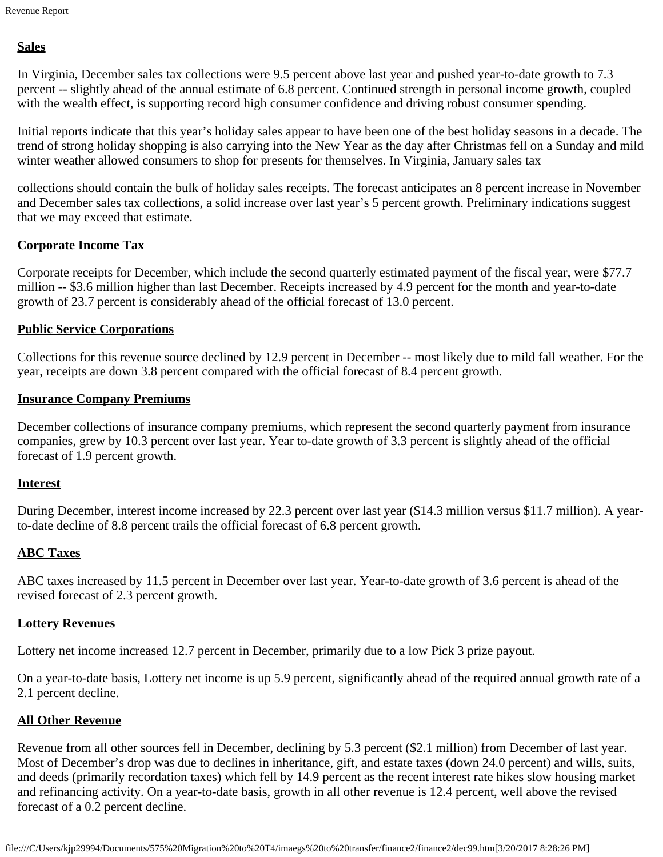# **Sales**

In Virginia, December sales tax collections were 9.5 percent above last year and pushed year-to-date growth to 7.3 percent -- slightly ahead of the annual estimate of 6.8 percent. Continued strength in personal income growth, coupled with the wealth effect, is supporting record high consumer confidence and driving robust consumer spending.

Initial reports indicate that this year's holiday sales appear to have been one of the best holiday seasons in a decade. The trend of strong holiday shopping is also carrying into the New Year as the day after Christmas fell on a Sunday and mild winter weather allowed consumers to shop for presents for themselves. In Virginia, January sales tax

collections should contain the bulk of holiday sales receipts. The forecast anticipates an 8 percent increase in November and December sales tax collections, a solid increase over last year's 5 percent growth. Preliminary indications suggest that we may exceed that estimate.

# **Corporate Income Tax**

Corporate receipts for December, which include the second quarterly estimated payment of the fiscal year, were \$77.7 million -- \$3.6 million higher than last December. Receipts increased by 4.9 percent for the month and year-to-date growth of 23.7 percent is considerably ahead of the official forecast of 13.0 percent.

### **Public Service Corporations**

Collections for this revenue source declined by 12.9 percent in December -- most likely due to mild fall weather. For the year, receipts are down 3.8 percent compared with the official forecast of 8.4 percent growth.

### **Insurance Company Premiums**

December collections of insurance company premiums, which represent the second quarterly payment from insurance companies, grew by 10.3 percent over last year. Year to-date growth of 3.3 percent is slightly ahead of the official forecast of 1.9 percent growth.

#### **Interest**

During December, interest income increased by 22.3 percent over last year (\$14.3 million versus \$11.7 million). A yearto-date decline of 8.8 percent trails the official forecast of 6.8 percent growth.

# **ABC Taxes**

ABC taxes increased by 11.5 percent in December over last year. Year-to-date growth of 3.6 percent is ahead of the revised forecast of 2.3 percent growth.

### **Lottery Revenues**

Lottery net income increased 12.7 percent in December, primarily due to a low Pick 3 prize payout.

On a year-to-date basis, Lottery net income is up 5.9 percent, significantly ahead of the required annual growth rate of a 2.1 percent decline.

### **All Other Revenue**

Revenue from all other sources fell in December, declining by 5.3 percent (\$2.1 million) from December of last year. Most of December's drop was due to declines in inheritance, gift, and estate taxes (down 24.0 percent) and wills, suits, and deeds (primarily recordation taxes) which fell by 14.9 percent as the recent interest rate hikes slow housing market and refinancing activity. On a year-to-date basis, growth in all other revenue is 12.4 percent, well above the revised forecast of a 0.2 percent decline.